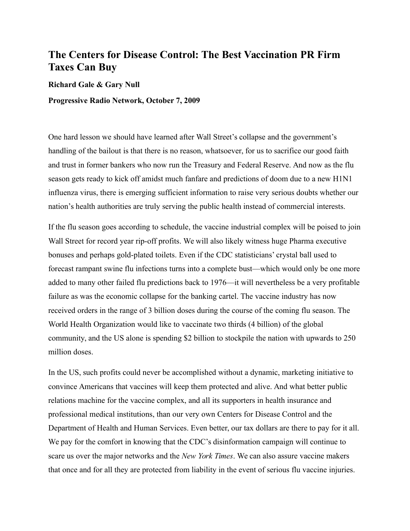## **The Centers for Disease Control: The Best Vaccination PR Firm Taxes Can Buy**

## **Richard Gale & Gary Null**

## **Progressive Radio Network, October 7, 2009**

One hard lesson we should have learned after Wall Street's collapse and the government's handling of the bailout is that there is no reason, whatsoever, for us to sacrifice our good faith and trust in former bankers who now run the Treasury and Federal Reserve. And now as the flu season gets ready to kick off amidst much fanfare and predictions of doom due to a new H1N1 influenza virus, there is emerging sufficient information to raise very serious doubts whether our nation's health authorities are truly serving the public health instead of commercial interests.

If the flu season goes according to schedule, the vaccine industrial complex will be poised to join Wall Street for record year rip-off profits. We will also likely witness huge Pharma executive bonuses and perhaps gold-plated toilets. Even if the CDC statisticians' crystal ball used to forecast rampant swine flu infections turns into a complete bust—which would only be one more added to many other failed flu predictions back to 1976—it will nevertheless be a very profitable failure as was the economic collapse for the banking cartel. The vaccine industry has now received orders in the range of 3 billion doses during the course of the coming flu season. The World Health Organization would like to vaccinate two thirds (4 billion) of the global community, and the US alone is spending \$2 billion to stockpile the nation with upwards to 250 million doses

In the US, such profits could never be accomplished without a dynamic, marketing initiative to convince Americans that vaccines will keep them protected and alive. And what better public relations machine for the vaccine complex, and all its supporters in health insurance and professional medical institutions, than our very own Centers for Disease Control and the Department of Health and Human Services. Even better, our tax dollars are there to pay for it all. We pay for the comfort in knowing that the CDC's disinformation campaign will continue to scare us over the major networks and the *New York Times*. We can also assure vaccine makers that once and for all they are protected from liability in the event of serious flu vaccine injuries.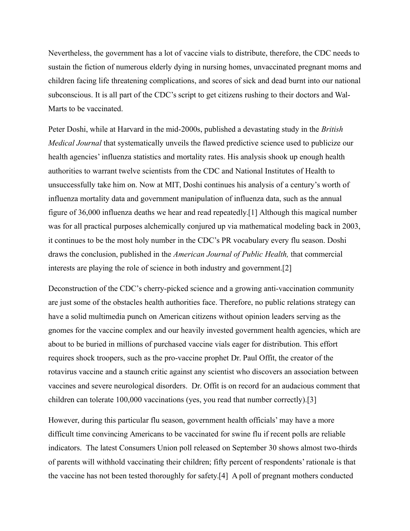Nevertheless, the government has a lot of vaccine vials to distribute, therefore, the CDC needs to sustain the fiction of numerous elderly dying in nursing homes, unvaccinated pregnant moms and children facing life threatening complications, and scores of sick and dead burnt into our national subconscious. It is all part of the CDC's script to get citizens rushing to their doctors and Wal-Marts to be vaccinated.

Peter Doshi, while at Harvard in the mid-2000s, published a devastating study in the *British Medical Journal* that systematically unveils the flawed predictive science used to publicize our health agencies' influenza statistics and mortality rates. His analysis shook up enough health authorities to warrant twelve scientists from the CDC and National Institutes of Health to unsuccessfully take him on. Now at MIT, Doshi continues his analysis of a century's worth of influenza mortality data and government manipulation of influenza data, such as the annual figure of 36,000 influenza deaths we hear and read repeatedly.[1] Although this magical number was for all practical purposes alchemically conjured up via mathematical modeling back in 2003, it continues to be the most holy number in the CDC's PR vocabulary every flu season. Doshi draws the conclusion, published in the *American Journal of Public Health,* that commercial interests are playing the role of science in both industry and government.[2]

Deconstruction of the CDC's cherry-picked science and a growing anti-vaccination community are just some of the obstacles health authorities face. Therefore, no public relations strategy can have a solid multimedia punch on American citizens without opinion leaders serving as the gnomes for the vaccine complex and our heavily invested government health agencies, which are about to be buried in millions of purchased vaccine vials eager for distribution. This effort requires shock troopers, such as the pro-vaccine prophet Dr. Paul Offit, the creator of the rotavirus vaccine and a staunch critic against any scientist who discovers an association between vaccines and severe neurological disorders. Dr. Offit is on record for an audacious comment that children can tolerate 100,000 vaccinations (yes, you read that number correctly).[3]

However, during this particular flu season, government health officials' may have a more difficult time convincing Americans to be vaccinated for swine flu if recent polls are reliable indicators. The latest Consumers Union poll released on September 30 shows almost two-thirds of parents will withhold vaccinating their children; fifty percent of respondents' rationale is that the vaccine has not been tested thoroughly for safety.[4] A poll of pregnant mothers conducted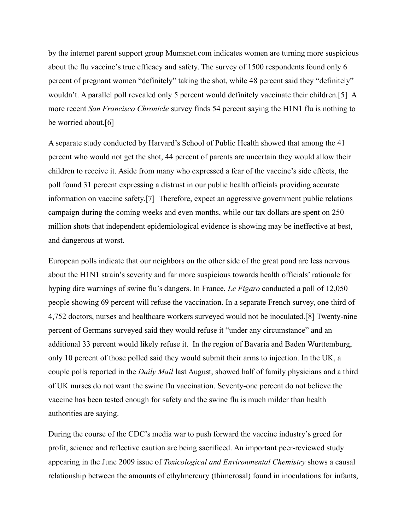by the internet parent support group Mumsnet.com indicates women are turning more suspicious about the flu vaccine's true efficacy and safety. The survey of 1500 respondents found only 6 percent of pregnant women "definitely" taking the shot, while 48 percent said they "definitely" wouldn't. A parallel poll revealed only 5 percent would definitely vaccinate their children.[5] A more recent *San Francisco Chronicle* survey finds 54 percent saying the H1N1 flu is nothing to be worried about.[6]

A separate study conducted by Harvard's School of Public Health showed that among the 41 percent who would not get the shot, 44 percent of parents are uncertain they would allow their children to receive it. Aside from many who expressed a fear of the vaccine's side effects, the poll found 31 percent expressing a distrust in our public health officials providing accurate information on vaccine safety.[7] Therefore, expect an aggressive government public relations campaign during the coming weeks and even months, while our tax dollars are spent on 250 million shots that independent epidemiological evidence is showing may be ineffective at best, and dangerous at worst.

European polls indicate that our neighbors on the other side of the great pond are less nervous about the H1N1 strain's severity and far more suspicious towards health officials' rationale for hyping dire warnings of swine flu's dangers. In France, *Le Figaro* conducted a poll of 12,050 people showing 69 percent will refuse the vaccination. In a separate French survey, one third of 4,752 doctors, nurses and healthcare workers surveyed would not be inoculated.[8] Twenty-nine percent of Germans surveyed said they would refuse it "under any circumstance" and an additional 33 percent would likely refuse it. In the region of Bavaria and Baden Wurttemburg, only 10 percent of those polled said they would submit their arms to injection. In the UK, a couple polls reported in the *Daily Mail* last August, showed half of family physicians and a third of UK nurses do not want the swine flu vaccination. Seventy-one percent do not believe the vaccine has been tested enough for safety and the swine flu is much milder than health authorities are saying.

During the course of the CDC's media war to push forward the vaccine industry's greed for profit, science and reflective caution are being sacrificed. An important peer-reviewed study appearing in the June 2009 issue of *Toxicological and Environmental Chemistry* shows a causal relationship between the amounts of ethylmercury (thimerosal) found in inoculations for infants,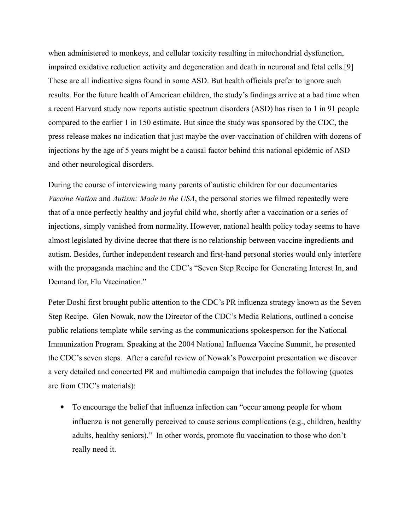when administered to monkeys, and cellular toxicity resulting in mitochondrial dysfunction, impaired oxidative reduction activity and degeneration and death in neuronal and fetal cells.[9] These are all indicative signs found in some ASD. But health officials prefer to ignore such results. For the future health of American children, the study's findings arrive at a bad time when a recent Harvard study now reports autistic spectrum disorders (ASD) has risen to 1 in 91 people compared to the earlier 1 in 150 estimate. But since the study was sponsored by the CDC, the press release makes no indication that just maybe the over-vaccination of children with dozens of injections by the age of 5 years might be a causal factor behind this national epidemic of ASD and other neurological disorders.

During the course of interviewing many parents of autistic children for our documentaries *Vaccine Nation* and *Autism: Made in the USA*, the personal stories we filmed repeatedly were that of a once perfectly healthy and joyful child who, shortly after a vaccination or a series of injections, simply vanished from normality. However, national health policy today seems to have almost legislated by divine decree that there is no relationship between vaccine ingredients and autism. Besides, further independent research and first-hand personal stories would only interfere with the propaganda machine and the CDC's "Seven Step Recipe for Generating Interest In, and Demand for, Flu Vaccination."

Peter Doshi first brought public attention to the CDC's PR influenza strategy known as the Seven Step Recipe. Glen Nowak, now the Director of the CDC's Media Relations, outlined a concise public relations template while serving as the communications spokesperson for the National Immunization Program. Speaking at the 2004 National Influenza Vaccine Summit, he presented the CDC's seven steps. After a careful review of Nowak's Powerpoint presentation we discover a very detailed and concerted PR and multimedia campaign that includes the following (quotes are from CDC's materials):

 To encourage the belief that influenza infection can "occur among people for whom influenza is not generally perceived to cause serious complications (e.g., children, healthy adults, healthy seniors)." In other words, promote flu vaccination to those who don't really need it.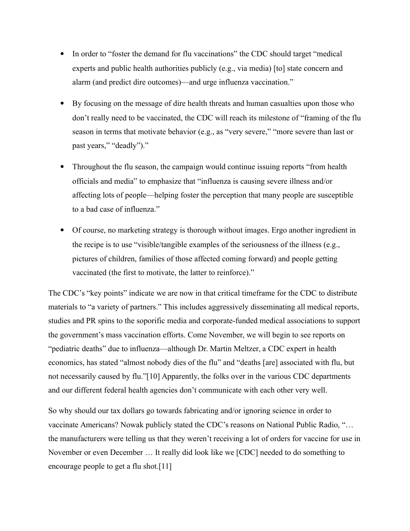- In order to "foster the demand for flu vaccinations" the CDC should target "medical experts and public health authorities publicly (e.g., via media) [to] state concern and alarm (and predict dire outcomes)—and urge influenza vaccination."
- By focusing on the message of dire health threats and human casualties upon those who don't really need to be vaccinated, the CDC will reach its milestone of "framing of the flu season in terms that motivate behavior (e.g., as "very severe," "more severe than last or past years," "deadly")."
- Throughout the flu season, the campaign would continue issuing reports "from health" officials and media" to emphasize that "influenza is causing severe illness and/or affecting lots of people—helping foster the perception that many people are susceptible to a bad case of influenza."
- Of course, no marketing strategy is thorough without images. Ergo another ingredient in the recipe is to use "visible/tangible examples of the seriousness of the illness (e.g., pictures of children, families of those affected coming forward) and people getting vaccinated (the first to motivate, the latter to reinforce)."

The CDC's "key points" indicate we are now in that critical timeframe for the CDC to distribute materials to "a variety of partners." This includes aggressively disseminating all medical reports, studies and PR spins to the soporific media and corporate-funded medical associations to support the government's mass vaccination efforts. Come November, we will begin to see reports on "pediatric deaths" due to influenza—although Dr. Martin Meltzer, a CDC expert in health economics, has stated "almost nobody dies of the flu" and "deaths [are] associated with flu, but not necessarily caused by flu."[10] Apparently, the folks over in the various CDC departments and our different federal health agencies don't communicate with each other very well.

So why should our tax dollars go towards fabricating and/or ignoring science in order to vaccinate Americans? Nowak publicly stated the CDC's reasons on National Public Radio, "… the manufacturers were telling us that they weren't receiving a lot of orders for vaccine for use in November or even December … It really did look like we [CDC] needed to do something to encourage people to get a flu shot.[11]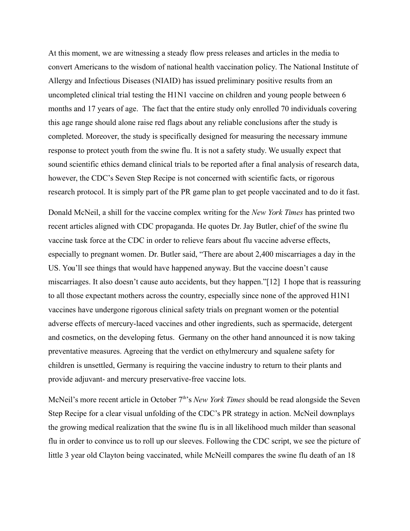At this moment, we are witnessing a steady flow press releases and articles in the media to convert Americans to the wisdom of national health vaccination policy. The National Institute of Allergy and Infectious Diseases (NIAID) has issued preliminary positive results from an uncompleted clinical trial testing the H1N1 vaccine on children and young people between 6 months and 17 years of age. The fact that the entire study only enrolled 70 individuals covering this age range should alone raise red flags about any reliable conclusions after the study is completed. Moreover, the study is specifically designed for measuring the necessary immune response to protect youth from the swine flu. It is not a safety study. We usually expect that sound scientific ethics demand clinical trials to be reported after a final analysis of research data, however, the CDC's Seven Step Recipe is not concerned with scientific facts, or rigorous research protocol. It is simply part of the PR game plan to get people vaccinated and to do it fast.

Donald McNeil, a shill for the vaccine complex writing for the *New York Times* has printed two recent articles aligned with CDC propaganda. He quotes Dr. Jay Butler, chief of the swine flu vaccine task force at the CDC in order to relieve fears about flu vaccine adverse effects, especially to pregnant women. Dr. Butler said, "There are about 2,400 miscarriages a day in the US. You'll see things that would have happened anyway. But the vaccine doesn't cause miscarriages. It also doesn't cause auto accidents, but they happen."[12] I hope that is reassuring to all those expectant mothers across the country, especially since none of the approved H1N1 vaccines have undergone rigorous clinical safety trials on pregnant women or the potential adverse effects of mercury-laced vaccines and other ingredients, such as spermacide, detergent and cosmetics, on the developing fetus. Germany on the other hand announced it is now taking preventative measures. Agreeing that the verdict on ethylmercury and squalene safety for children is unsettled, Germany is requiring the vaccine industry to return to their plants and provide adjuvant- and mercury preservative-free vaccine lots.

McNeil's more recent article in October  $7<sup>th</sup>$ 's *New York Times* should be read alongside the Seven Step Recipe for a clear visual unfolding of the CDC's PR strategy in action. McNeil downplays the growing medical realization that the swine flu is in all likelihood much milder than seasonal flu in order to convince us to roll up our sleeves. Following the CDC script, we see the picture of little 3 year old Clayton being vaccinated, while McNeill compares the swine flu death of an 18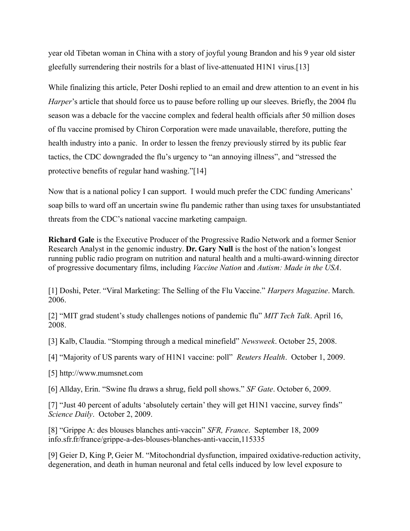year old Tibetan woman in China with a story of joyful young Brandon and his 9 year old sister gleefully surrendering their nostrils for a blast of live-attenuated H1N1 virus.[13]

While finalizing this article, Peter Doshi replied to an email and drew attention to an event in his *Harper*'s article that should force us to pause before rolling up our sleeves. Briefly, the 2004 flu season was a debacle for the vaccine complex and federal health officials after 50 million doses of flu vaccine promised by Chiron Corporation were made unavailable, therefore, putting the health industry into a panic. In order to lessen the frenzy previously stirred by its public fear tactics, the CDC downgraded the flu's urgency to "an annoying illness", and "stressed the protective benefits of regular hand washing."[14]

Now that is a national policy I can support. I would much prefer the CDC funding Americans' soap bills to ward off an uncertain swine flu pandemic rather than using taxes for unsubstantiated threats from the CDC's national vaccine marketing campaign.

**Richard Gale** is the Executive Producer of the Progressive Radio Network and a former Senior Research Analyst in the genomic industry. **Dr. Gary Null** is the host of the nation's longest running public radio program on nutrition and natural health and a multi-award-winning director of progressive documentary films, including *Vaccine Nation* and *Autism: Made in the USA*.

[1] Doshi, Peter. "Viral Marketing: The Selling of the Flu Vaccine." *Harpers Magazine*. March. 2006.

[2] "MIT grad student's study challenges notions of pandemic flu" *MIT Tech Talk*. April 16, 2008.

[3] Kalb, Claudia. "Stomping through a medical minefield" *Newsweek*. October 25, 2008.

[4] "Majority of US parents wary of H1N1 vaccine: poll" *Reuters Health*. October 1, 2009.

[5] http://www.mumsnet.com

[6] Allday, Erin. "Swine flu draws a shrug, field poll shows." *SF Gate*. October 6, 2009.

[7] "Just 40 percent of adults 'absolutely certain' they will get H1N1 vaccine, survey finds" *Science Daily*. October 2, 2009.

[8] "Grippe A: des blouses blanches anti-vaccin" *SFR, France*. September 18, 2009 info.sfr.fr/france/grippe-a-des-blouses-blanches-anti-vaccin,115335

[9] Geier D, King P, Geier M. "Mitochondrial dysfunction, impaired oxidative-reduction activity, degeneration, and death in human neuronal and fetal cells induced by low level exposure to